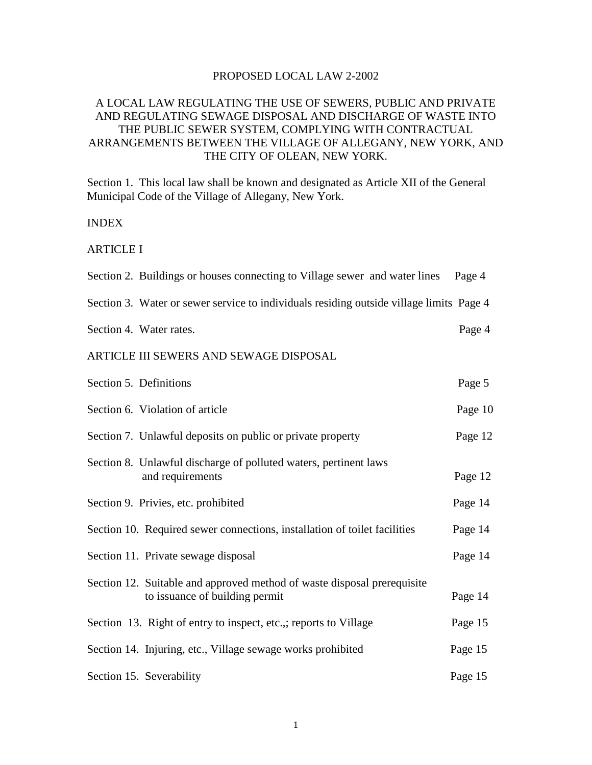#### PROPOSED LOCAL LAW 2-2002

## A LOCAL LAW REGULATING THE USE OF SEWERS, PUBLIC AND PRIVATE AND REGULATING SEWAGE DISPOSAL AND DISCHARGE OF WASTE INTO THE PUBLIC SEWER SYSTEM, COMPLYING WITH CONTRACTUAL ARRANGEMENTS BETWEEN THE VILLAGE OF ALLEGANY, NEW YORK, AND THE CITY OF OLEAN, NEW YORK.

Section 1. This local law shall be known and designated as Article XII of the General Municipal Code of the Village of Allegany, New York.

#### INDEX

ARTICLE I

| Section 2. Buildings or houses connecting to Village sewer and water lines Page 4                         |         |
|-----------------------------------------------------------------------------------------------------------|---------|
| Section 3. Water or sewer service to individuals residing outside village limits Page 4                   |         |
| Section 4. Water rates.                                                                                   | Page 4  |
| ARTICLE III SEWERS AND SEWAGE DISPOSAL                                                                    |         |
| Section 5. Definitions                                                                                    | Page 5  |
| Section 6. Violation of article                                                                           | Page 10 |
| Section 7. Unlawful deposits on public or private property                                                | Page 12 |
| Section 8. Unlawful discharge of polluted waters, pertinent laws<br>and requirements                      | Page 12 |
| Section 9. Privies, etc. prohibited                                                                       | Page 14 |
| Section 10. Required sewer connections, installation of toilet facilities                                 | Page 14 |
| Section 11. Private sewage disposal                                                                       | Page 14 |
| Section 12. Suitable and approved method of waste disposal prerequisite<br>to issuance of building permit | Page 14 |
| Section 13. Right of entry to inspect, etc.,; reports to Village                                          | Page 15 |
| Section 14. Injuring, etc., Village sewage works prohibited                                               | Page 15 |
| Section 15. Severability                                                                                  | Page 15 |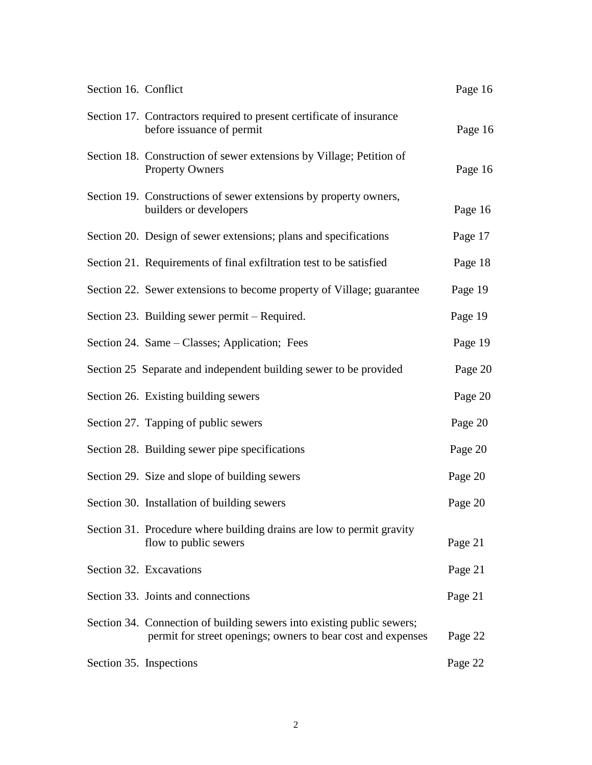| Section 16. Conflict |                                                                                                                                        | Page 16 |
|----------------------|----------------------------------------------------------------------------------------------------------------------------------------|---------|
|                      | Section 17. Contractors required to present certificate of insurance<br>before issuance of permit                                      | Page 16 |
|                      | Section 18. Construction of sewer extensions by Village; Petition of<br><b>Property Owners</b>                                         | Page 16 |
|                      | Section 19. Constructions of sewer extensions by property owners,<br>builders or developers                                            | Page 16 |
|                      | Section 20. Design of sewer extensions; plans and specifications                                                                       | Page 17 |
|                      | Section 21. Requirements of final exfiltration test to be satisfied                                                                    | Page 18 |
|                      | Section 22. Sewer extensions to become property of Village; guarantee                                                                  | Page 19 |
|                      | Section 23. Building sewer permit – Required.                                                                                          | Page 19 |
|                      | Section 24. Same – Classes; Application; Fees                                                                                          | Page 19 |
|                      | Section 25 Separate and independent building sewer to be provided                                                                      | Page 20 |
|                      | Section 26. Existing building sewers                                                                                                   | Page 20 |
|                      | Section 27. Tapping of public sewers                                                                                                   | Page 20 |
|                      | Section 28. Building sewer pipe specifications                                                                                         | Page 20 |
|                      | Section 29. Size and slope of building sewers                                                                                          | Page 20 |
|                      | Section 30. Installation of building sewers                                                                                            | Page 20 |
|                      | Section 31. Procedure where building drains are low to permit gravity<br>flow to public sewers                                         | Page 21 |
|                      | Section 32. Excavations                                                                                                                | Page 21 |
|                      | Section 33. Joints and connections                                                                                                     | Page 21 |
|                      | Section 34. Connection of building sewers into existing public sewers;<br>permit for street openings; owners to bear cost and expenses | Page 22 |
|                      | Section 35. Inspections                                                                                                                | Page 22 |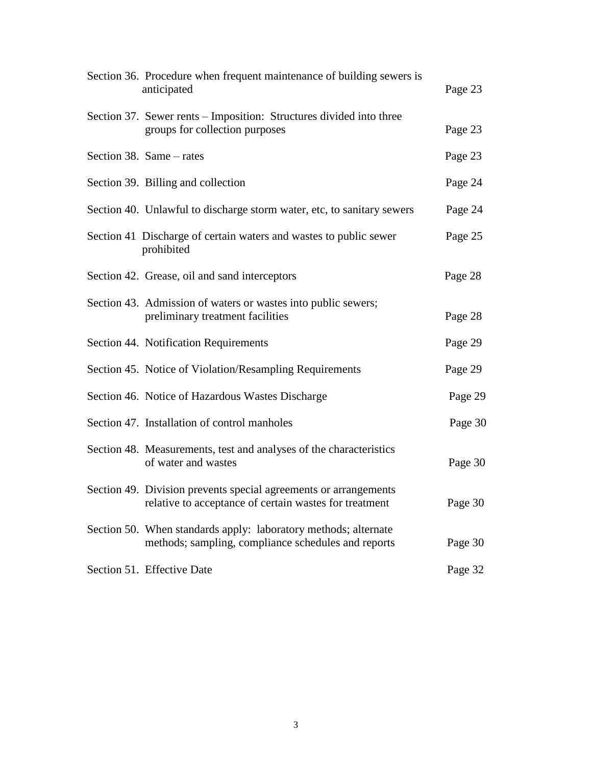| Section 36. Procedure when frequent maintenance of building sewers is<br>anticipated                                       | Page 23 |
|----------------------------------------------------------------------------------------------------------------------------|---------|
| Section 37. Sewer rents – Imposition: Structures divided into three<br>groups for collection purposes                      | Page 23 |
| Section 38. Same – rates                                                                                                   | Page 23 |
| Section 39. Billing and collection                                                                                         | Page 24 |
| Section 40. Unlawful to discharge storm water, etc, to sanitary sewers                                                     | Page 24 |
| Section 41 Discharge of certain waters and wastes to public sewer<br>prohibited                                            | Page 25 |
| Section 42. Grease, oil and sand interceptors                                                                              | Page 28 |
| Section 43. Admission of waters or wastes into public sewers;<br>preliminary treatment facilities                          | Page 28 |
| Section 44. Notification Requirements                                                                                      | Page 29 |
| Section 45. Notice of Violation/Resampling Requirements                                                                    | Page 29 |
| Section 46. Notice of Hazardous Wastes Discharge                                                                           | Page 29 |
| Section 47. Installation of control manholes                                                                               | Page 30 |
| Section 48. Measurements, test and analyses of the characteristics<br>of water and wastes                                  | Page 30 |
| Section 49. Division prevents special agreements or arrangements<br>relative to acceptance of certain wastes for treatment | Page 30 |
| Section 50. When standards apply: laboratory methods; alternate<br>methods; sampling, compliance schedules and reports     | Page 30 |
| Section 51. Effective Date                                                                                                 | Page 32 |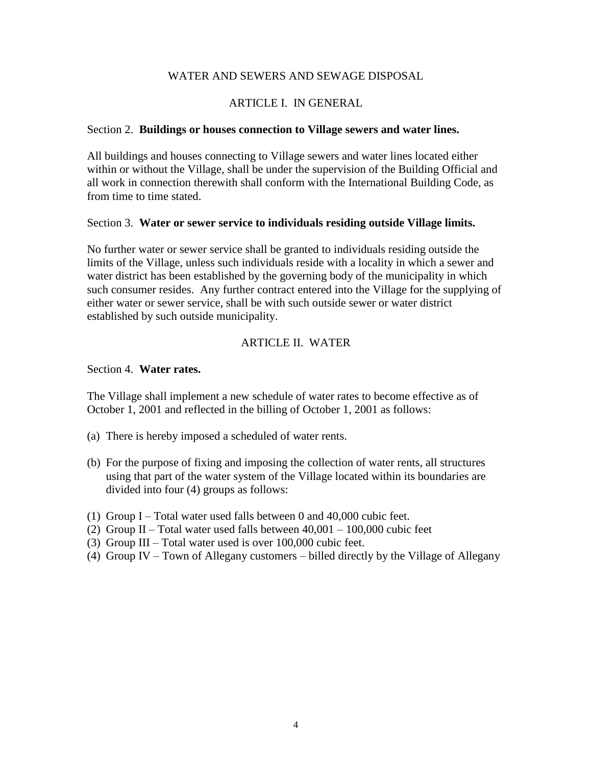### WATER AND SEWERS AND SEWAGE DISPOSAL

## ARTICLE I. IN GENERAL

#### Section 2. **Buildings or houses connection to Village sewers and water lines.**

All buildings and houses connecting to Village sewers and water lines located either within or without the Village, shall be under the supervision of the Building Official and all work in connection therewith shall conform with the International Building Code, as from time to time stated.

#### Section 3. **Water or sewer service to individuals residing outside Village limits.**

No further water or sewer service shall be granted to individuals residing outside the limits of the Village, unless such individuals reside with a locality in which a sewer and water district has been established by the governing body of the municipality in which such consumer resides. Any further contract entered into the Village for the supplying of either water or sewer service, shall be with such outside sewer or water district established by such outside municipality.

## ARTICLE II. WATER

#### Section 4. **Water rates.**

The Village shall implement a new schedule of water rates to become effective as of October 1, 2001 and reflected in the billing of October 1, 2001 as follows:

- (a) There is hereby imposed a scheduled of water rents.
- (b) For the purpose of fixing and imposing the collection of water rents, all structures using that part of the water system of the Village located within its boundaries are divided into four (4) groups as follows:
- (1) Group I Total water used falls between 0 and 40,000 cubic feet.
- (2) Group II Total water used falls between  $40,001 100,000$  cubic feet
- (3) Group III Total water used is over 100,000 cubic feet.
- (4) Group IV Town of Allegany customers billed directly by the Village of Allegany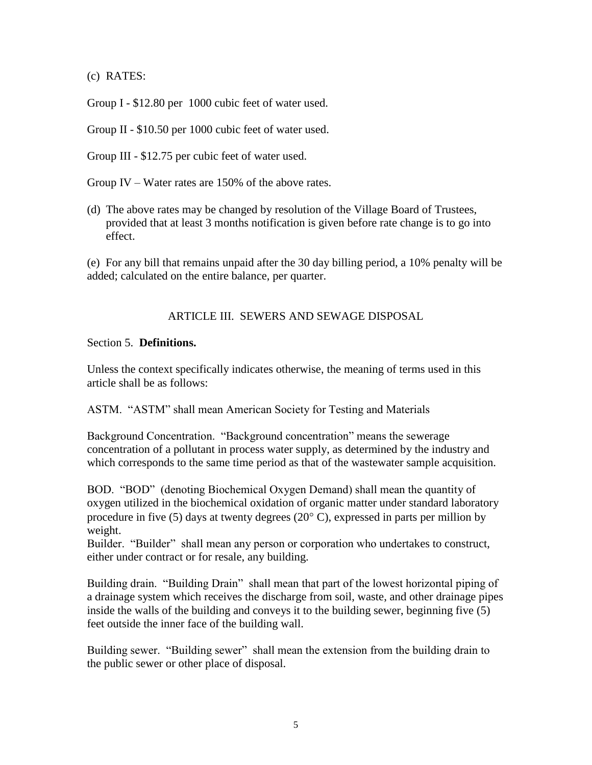(c) RATES:

Group I - \$12.80 per 1000 cubic feet of water used.

Group II - \$10.50 per 1000 cubic feet of water used.

Group III - \$12.75 per cubic feet of water used.

Group IV – Water rates are 150% of the above rates.

(d) The above rates may be changed by resolution of the Village Board of Trustees, provided that at least 3 months notification is given before rate change is to go into effect.

(e) For any bill that remains unpaid after the 30 day billing period, a 10% penalty will be added; calculated on the entire balance, per quarter.

#### ARTICLE III. SEWERS AND SEWAGE DISPOSAL

#### Section 5. **Definitions.**

Unless the context specifically indicates otherwise, the meaning of terms used in this article shall be as follows:

ASTM. "ASTM" shall mean American Society for Testing and Materials

Background Concentration. "Background concentration" means the sewerage concentration of a pollutant in process water supply, as determined by the industry and which corresponds to the same time period as that of the wastewater sample acquisition.

BOD. "BOD" (denoting Biochemical Oxygen Demand) shall mean the quantity of oxygen utilized in the biochemical oxidation of organic matter under standard laboratory procedure in five (5) days at twenty degrees (20 $^{\circ}$  C), expressed in parts per million by weight.

Builder. "Builder" shall mean any person or corporation who undertakes to construct, either under contract or for resale, any building.

Building drain. "Building Drain" shall mean that part of the lowest horizontal piping of a drainage system which receives the discharge from soil, waste, and other drainage pipes inside the walls of the building and conveys it to the building sewer, beginning five (5) feet outside the inner face of the building wall.

Building sewer. "Building sewer" shall mean the extension from the building drain to the public sewer or other place of disposal.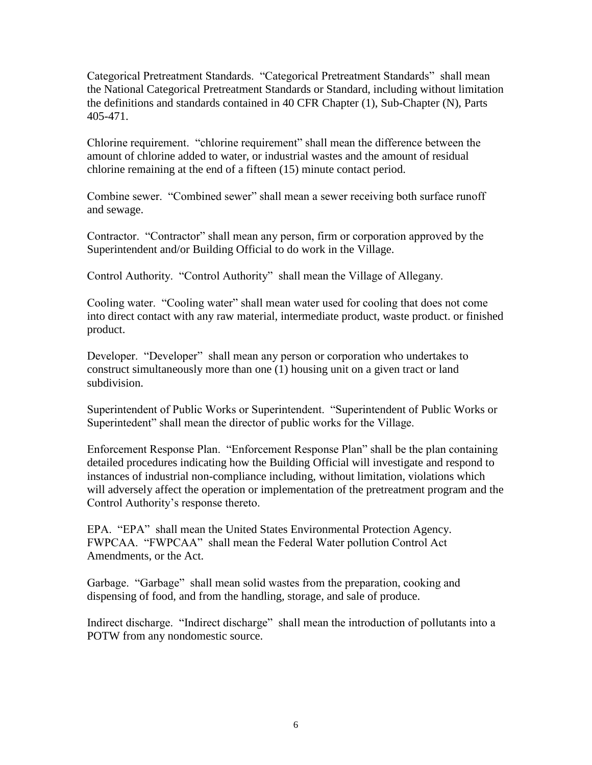Categorical Pretreatment Standards. "Categorical Pretreatment Standards" shall mean the National Categorical Pretreatment Standards or Standard, including without limitation the definitions and standards contained in 40 CFR Chapter (1), Sub-Chapter (N), Parts 405-471.

Chlorine requirement. "chlorine requirement" shall mean the difference between the amount of chlorine added to water, or industrial wastes and the amount of residual chlorine remaining at the end of a fifteen (15) minute contact period.

Combine sewer. "Combined sewer" shall mean a sewer receiving both surface runoff and sewage.

Contractor. "Contractor" shall mean any person, firm or corporation approved by the Superintendent and/or Building Official to do work in the Village.

Control Authority. "Control Authority" shall mean the Village of Allegany.

Cooling water. "Cooling water" shall mean water used for cooling that does not come into direct contact with any raw material, intermediate product, waste product. or finished product.

Developer. "Developer" shall mean any person or corporation who undertakes to construct simultaneously more than one (1) housing unit on a given tract or land subdivision.

Superintendent of Public Works or Superintendent. "Superintendent of Public Works or Superintedent" shall mean the director of public works for the Village.

Enforcement Response Plan. "Enforcement Response Plan" shall be the plan containing detailed procedures indicating how the Building Official will investigate and respond to instances of industrial non-compliance including, without limitation, violations which will adversely affect the operation or implementation of the pretreatment program and the Control Authority's response thereto.

EPA. "EPA" shall mean the United States Environmental Protection Agency. FWPCAA. "FWPCAA" shall mean the Federal Water pollution Control Act Amendments, or the Act.

Garbage. "Garbage" shall mean solid wastes from the preparation, cooking and dispensing of food, and from the handling, storage, and sale of produce.

Indirect discharge. "Indirect discharge" shall mean the introduction of pollutants into a POTW from any nondomestic source.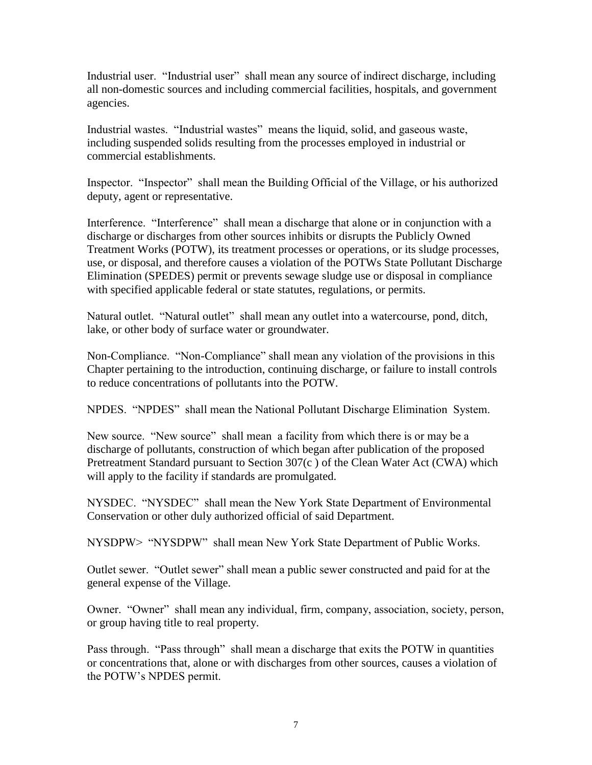Industrial user. "Industrial user" shall mean any source of indirect discharge, including all non-domestic sources and including commercial facilities, hospitals, and government agencies.

Industrial wastes. "Industrial wastes" means the liquid, solid, and gaseous waste, including suspended solids resulting from the processes employed in industrial or commercial establishments.

Inspector. "Inspector" shall mean the Building Official of the Village, or his authorized deputy, agent or representative.

Interference. "Interference" shall mean a discharge that alone or in conjunction with a discharge or discharges from other sources inhibits or disrupts the Publicly Owned Treatment Works (POTW), its treatment processes or operations, or its sludge processes, use, or disposal, and therefore causes a violation of the POTWs State Pollutant Discharge Elimination (SPEDES) permit or prevents sewage sludge use or disposal in compliance with specified applicable federal or state statutes, regulations, or permits.

Natural outlet. "Natural outlet" shall mean any outlet into a watercourse, pond, ditch, lake, or other body of surface water or groundwater.

Non-Compliance. "Non-Compliance" shall mean any violation of the provisions in this Chapter pertaining to the introduction, continuing discharge, or failure to install controls to reduce concentrations of pollutants into the POTW.

NPDES. "NPDES" shall mean the National Pollutant Discharge Elimination System.

New source. "New source" shall mean a facility from which there is or may be a discharge of pollutants, construction of which began after publication of the proposed Pretreatment Standard pursuant to Section 307(c ) of the Clean Water Act (CWA) which will apply to the facility if standards are promulgated.

NYSDEC. "NYSDEC" shall mean the New York State Department of Environmental Conservation or other duly authorized official of said Department.

NYSDPW> "NYSDPW" shall mean New York State Department of Public Works.

Outlet sewer. "Outlet sewer" shall mean a public sewer constructed and paid for at the general expense of the Village.

Owner. "Owner" shall mean any individual, firm, company, association, society, person, or group having title to real property.

Pass through. "Pass through" shall mean a discharge that exits the POTW in quantities or concentrations that, alone or with discharges from other sources, causes a violation of the POTW's NPDES permit.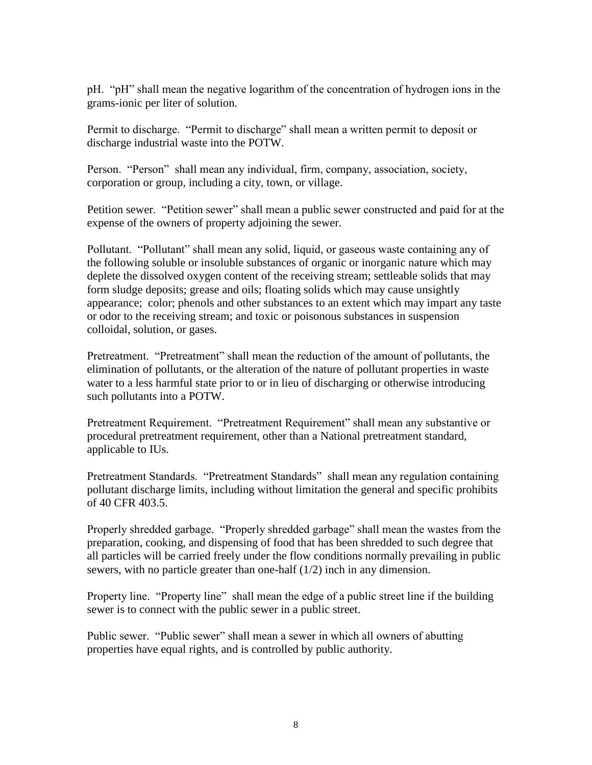pH. "pH" shall mean the negative logarithm of the concentration of hydrogen ions in the grams-ionic per liter of solution.

Permit to discharge. "Permit to discharge" shall mean a written permit to deposit or discharge industrial waste into the POTW.

Person. "Person" shall mean any individual, firm, company, association, society, corporation or group, including a city, town, or village.

Petition sewer. "Petition sewer" shall mean a public sewer constructed and paid for at the expense of the owners of property adjoining the sewer.

Pollutant. "Pollutant" shall mean any solid, liquid, or gaseous waste containing any of the following soluble or insoluble substances of organic or inorganic nature which may deplete the dissolved oxygen content of the receiving stream; settleable solids that may form sludge deposits; grease and oils; floating solids which may cause unsightly appearance; color; phenols and other substances to an extent which may impart any taste or odor to the receiving stream; and toxic or poisonous substances in suspension colloidal, solution, or gases.

Pretreatment. "Pretreatment" shall mean the reduction of the amount of pollutants, the elimination of pollutants, or the alteration of the nature of pollutant properties in waste water to a less harmful state prior to or in lieu of discharging or otherwise introducing such pollutants into a POTW.

Pretreatment Requirement. "Pretreatment Requirement" shall mean any substantive or procedural pretreatment requirement, other than a National pretreatment standard, applicable to IUs.

Pretreatment Standards. "Pretreatment Standards" shall mean any regulation containing pollutant discharge limits, including without limitation the general and specific prohibits of 40 CFR 403.5.

Properly shredded garbage. "Properly shredded garbage" shall mean the wastes from the preparation, cooking, and dispensing of food that has been shredded to such degree that all particles will be carried freely under the flow conditions normally prevailing in public sewers, with no particle greater than one-half (1/2) inch in any dimension.

Property line. "Property line" shall mean the edge of a public street line if the building sewer is to connect with the public sewer in a public street.

Public sewer. "Public sewer" shall mean a sewer in which all owners of abutting properties have equal rights, and is controlled by public authority.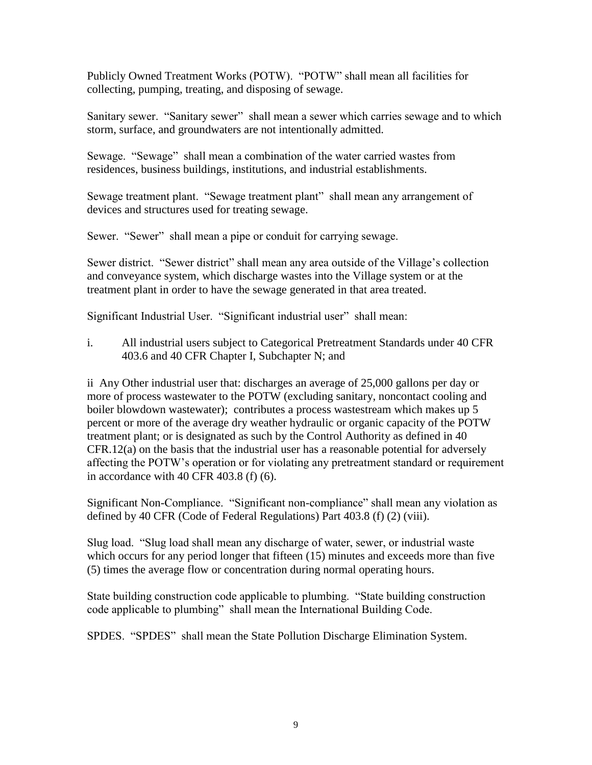Publicly Owned Treatment Works (POTW). "POTW" shall mean all facilities for collecting, pumping, treating, and disposing of sewage.

Sanitary sewer. "Sanitary sewer" shall mean a sewer which carries sewage and to which storm, surface, and groundwaters are not intentionally admitted.

Sewage. "Sewage" shall mean a combination of the water carried wastes from residences, business buildings, institutions, and industrial establishments.

Sewage treatment plant. "Sewage treatment plant" shall mean any arrangement of devices and structures used for treating sewage.

Sewer. "Sewer" shall mean a pipe or conduit for carrying sewage.

Sewer district. "Sewer district" shall mean any area outside of the Village's collection and conveyance system, which discharge wastes into the Village system or at the treatment plant in order to have the sewage generated in that area treated.

Significant Industrial User. "Significant industrial user" shall mean:

i. All industrial users subject to Categorical Pretreatment Standards under 40 CFR 403.6 and 40 CFR Chapter I, Subchapter N; and

ii Any Other industrial user that: discharges an average of 25,000 gallons per day or more of process wastewater to the POTW (excluding sanitary, noncontact cooling and boiler blowdown wastewater); contributes a process wastestream which makes up 5 percent or more of the average dry weather hydraulic or organic capacity of the POTW treatment plant; or is designated as such by the Control Authority as defined in 40 CFR.12(a) on the basis that the industrial user has a reasonable potential for adversely affecting the POTW's operation or for violating any pretreatment standard or requirement in accordance with 40 CFR 403.8 (f) (6).

Significant Non-Compliance. "Significant non-compliance" shall mean any violation as defined by 40 CFR (Code of Federal Regulations) Part 403.8 (f) (2) (viii).

Slug load. "Slug load shall mean any discharge of water, sewer, or industrial waste which occurs for any period longer that fifteen (15) minutes and exceeds more than five (5) times the average flow or concentration during normal operating hours.

State building construction code applicable to plumbing. "State building construction code applicable to plumbing" shall mean the International Building Code.

SPDES. "SPDES" shall mean the State Pollution Discharge Elimination System.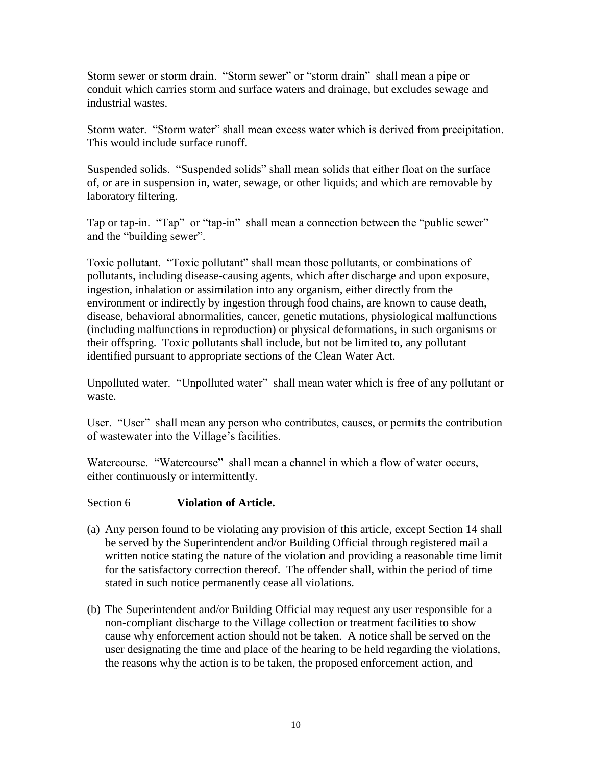Storm sewer or storm drain. "Storm sewer" or "storm drain" shall mean a pipe or conduit which carries storm and surface waters and drainage, but excludes sewage and industrial wastes.

Storm water. "Storm water" shall mean excess water which is derived from precipitation. This would include surface runoff.

Suspended solids. "Suspended solids" shall mean solids that either float on the surface of, or are in suspension in, water, sewage, or other liquids; and which are removable by laboratory filtering.

Tap or tap-in. "Tap" or "tap-in" shall mean a connection between the "public sewer" and the "building sewer".

Toxic pollutant. "Toxic pollutant" shall mean those pollutants, or combinations of pollutants, including disease-causing agents, which after discharge and upon exposure, ingestion, inhalation or assimilation into any organism, either directly from the environment or indirectly by ingestion through food chains, are known to cause death, disease, behavioral abnormalities, cancer, genetic mutations, physiological malfunctions (including malfunctions in reproduction) or physical deformations, in such organisms or their offspring. Toxic pollutants shall include, but not be limited to, any pollutant identified pursuant to appropriate sections of the Clean Water Act.

Unpolluted water. "Unpolluted water" shall mean water which is free of any pollutant or waste.

User. "User" shall mean any person who contributes, causes, or permits the contribution of wastewater into the Village's facilities.

Watercourse. "Watercourse" shall mean a channel in which a flow of water occurs, either continuously or intermittently.

# Section 6 **Violation of Article.**

- (a) Any person found to be violating any provision of this article, except Section 14 shall be served by the Superintendent and/or Building Official through registered mail a written notice stating the nature of the violation and providing a reasonable time limit for the satisfactory correction thereof. The offender shall, within the period of time stated in such notice permanently cease all violations.
- (b) The Superintendent and/or Building Official may request any user responsible for a non-compliant discharge to the Village collection or treatment facilities to show cause why enforcement action should not be taken. A notice shall be served on the user designating the time and place of the hearing to be held regarding the violations, the reasons why the action is to be taken, the proposed enforcement action, and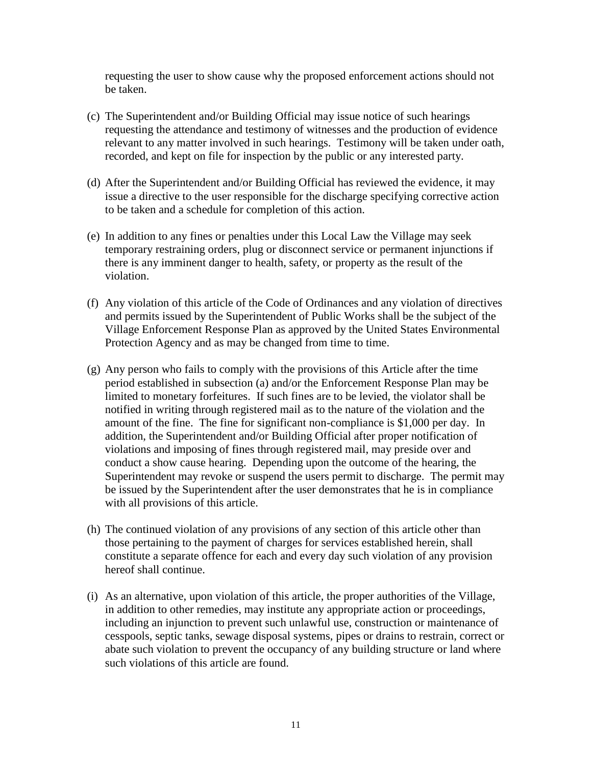requesting the user to show cause why the proposed enforcement actions should not be taken.

- (c) The Superintendent and/or Building Official may issue notice of such hearings requesting the attendance and testimony of witnesses and the production of evidence relevant to any matter involved in such hearings. Testimony will be taken under oath, recorded, and kept on file for inspection by the public or any interested party.
- (d) After the Superintendent and/or Building Official has reviewed the evidence, it may issue a directive to the user responsible for the discharge specifying corrective action to be taken and a schedule for completion of this action.
- (e) In addition to any fines or penalties under this Local Law the Village may seek temporary restraining orders, plug or disconnect service or permanent injunctions if there is any imminent danger to health, safety, or property as the result of the violation.
- (f) Any violation of this article of the Code of Ordinances and any violation of directives and permits issued by the Superintendent of Public Works shall be the subject of the Village Enforcement Response Plan as approved by the United States Environmental Protection Agency and as may be changed from time to time.
- (g) Any person who fails to comply with the provisions of this Article after the time period established in subsection (a) and/or the Enforcement Response Plan may be limited to monetary forfeitures. If such fines are to be levied, the violator shall be notified in writing through registered mail as to the nature of the violation and the amount of the fine. The fine for significant non-compliance is \$1,000 per day. In addition, the Superintendent and/or Building Official after proper notification of violations and imposing of fines through registered mail, may preside over and conduct a show cause hearing. Depending upon the outcome of the hearing, the Superintendent may revoke or suspend the users permit to discharge. The permit may be issued by the Superintendent after the user demonstrates that he is in compliance with all provisions of this article.
- (h) The continued violation of any provisions of any section of this article other than those pertaining to the payment of charges for services established herein, shall constitute a separate offence for each and every day such violation of any provision hereof shall continue.
- (i) As an alternative, upon violation of this article, the proper authorities of the Village, in addition to other remedies, may institute any appropriate action or proceedings, including an injunction to prevent such unlawful use, construction or maintenance of cesspools, septic tanks, sewage disposal systems, pipes or drains to restrain, correct or abate such violation to prevent the occupancy of any building structure or land where such violations of this article are found.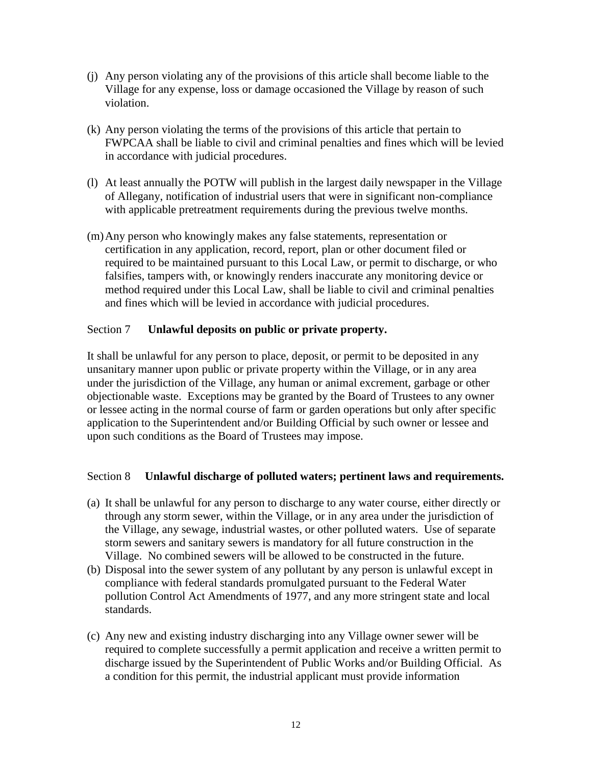- (j) Any person violating any of the provisions of this article shall become liable to the Village for any expense, loss or damage occasioned the Village by reason of such violation.
- (k) Any person violating the terms of the provisions of this article that pertain to FWPCAA shall be liable to civil and criminal penalties and fines which will be levied in accordance with judicial procedures.
- (l) At least annually the POTW will publish in the largest daily newspaper in the Village of Allegany, notification of industrial users that were in significant non-compliance with applicable pretreatment requirements during the previous twelve months.
- (m)Any person who knowingly makes any false statements, representation or certification in any application, record, report, plan or other document filed or required to be maintained pursuant to this Local Law, or permit to discharge, or who falsifies, tampers with, or knowingly renders inaccurate any monitoring device or method required under this Local Law, shall be liable to civil and criminal penalties and fines which will be levied in accordance with judicial procedures.

# Section 7 **Unlawful deposits on public or private property.**

It shall be unlawful for any person to place, deposit, or permit to be deposited in any unsanitary manner upon public or private property within the Village, or in any area under the jurisdiction of the Village, any human or animal excrement, garbage or other objectionable waste. Exceptions may be granted by the Board of Trustees to any owner or lessee acting in the normal course of farm or garden operations but only after specific application to the Superintendent and/or Building Official by such owner or lessee and upon such conditions as the Board of Trustees may impose.

# Section 8 **Unlawful discharge of polluted waters; pertinent laws and requirements.**

- (a) It shall be unlawful for any person to discharge to any water course, either directly or through any storm sewer, within the Village, or in any area under the jurisdiction of the Village, any sewage, industrial wastes, or other polluted waters. Use of separate storm sewers and sanitary sewers is mandatory for all future construction in the Village. No combined sewers will be allowed to be constructed in the future.
- (b) Disposal into the sewer system of any pollutant by any person is unlawful except in compliance with federal standards promulgated pursuant to the Federal Water pollution Control Act Amendments of 1977, and any more stringent state and local standards.
- (c) Any new and existing industry discharging into any Village owner sewer will be required to complete successfully a permit application and receive a written permit to discharge issued by the Superintendent of Public Works and/or Building Official. As a condition for this permit, the industrial applicant must provide information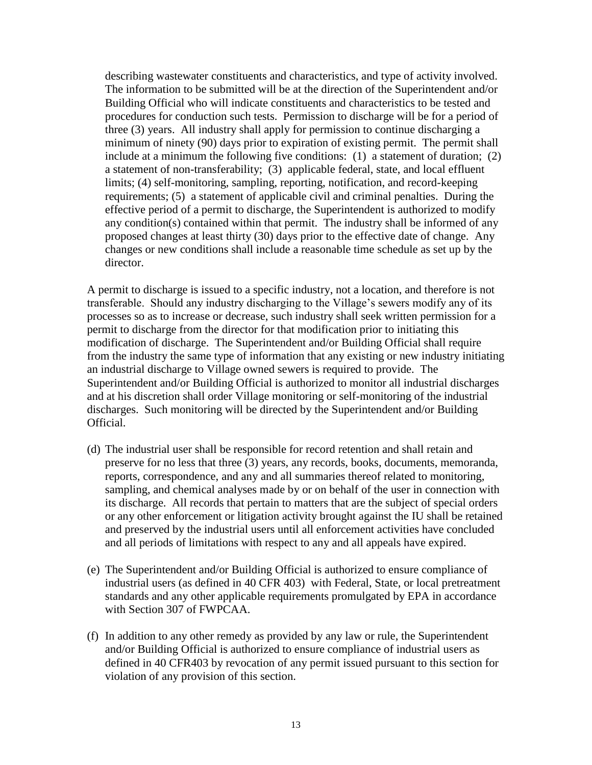describing wastewater constituents and characteristics, and type of activity involved. The information to be submitted will be at the direction of the Superintendent and/or Building Official who will indicate constituents and characteristics to be tested and procedures for conduction such tests. Permission to discharge will be for a period of three (3) years. All industry shall apply for permission to continue discharging a minimum of ninety (90) days prior to expiration of existing permit. The permit shall include at a minimum the following five conditions: (1) a statement of duration; (2) a statement of non-transferability; (3) applicable federal, state, and local effluent limits; (4) self-monitoring, sampling, reporting, notification, and record-keeping requirements; (5) a statement of applicable civil and criminal penalties. During the effective period of a permit to discharge, the Superintendent is authorized to modify any condition(s) contained within that permit. The industry shall be informed of any proposed changes at least thirty (30) days prior to the effective date of change. Any changes or new conditions shall include a reasonable time schedule as set up by the director.

A permit to discharge is issued to a specific industry, not a location, and therefore is not transferable. Should any industry discharging to the Village's sewers modify any of its processes so as to increase or decrease, such industry shall seek written permission for a permit to discharge from the director for that modification prior to initiating this modification of discharge. The Superintendent and/or Building Official shall require from the industry the same type of information that any existing or new industry initiating an industrial discharge to Village owned sewers is required to provide. The Superintendent and/or Building Official is authorized to monitor all industrial discharges and at his discretion shall order Village monitoring or self-monitoring of the industrial discharges. Such monitoring will be directed by the Superintendent and/or Building Official.

- (d) The industrial user shall be responsible for record retention and shall retain and preserve for no less that three (3) years, any records, books, documents, memoranda, reports, correspondence, and any and all summaries thereof related to monitoring, sampling, and chemical analyses made by or on behalf of the user in connection with its discharge. All records that pertain to matters that are the subject of special orders or any other enforcement or litigation activity brought against the IU shall be retained and preserved by the industrial users until all enforcement activities have concluded and all periods of limitations with respect to any and all appeals have expired.
- (e) The Superintendent and/or Building Official is authorized to ensure compliance of industrial users (as defined in 40 CFR 403) with Federal, State, or local pretreatment standards and any other applicable requirements promulgated by EPA in accordance with Section 307 of FWPCAA.
- (f) In addition to any other remedy as provided by any law or rule, the Superintendent and/or Building Official is authorized to ensure compliance of industrial users as defined in 40 CFR403 by revocation of any permit issued pursuant to this section for violation of any provision of this section.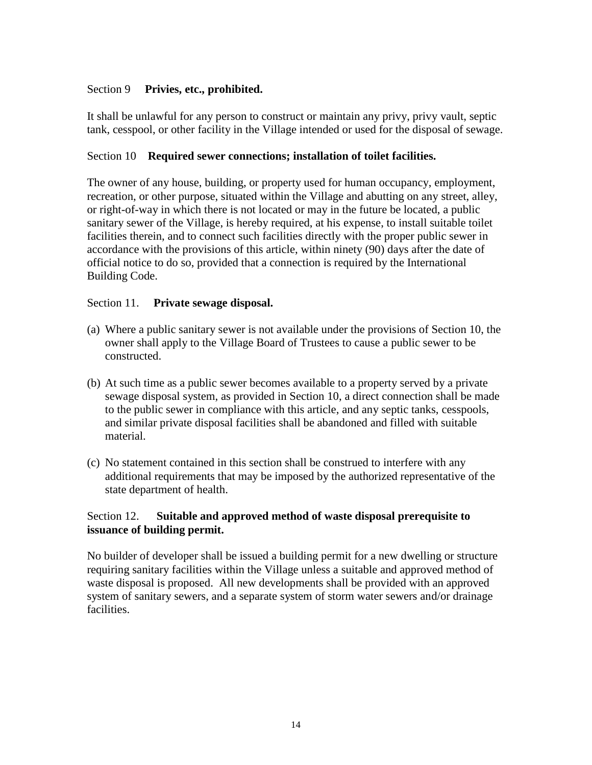## Section 9 **Privies, etc., prohibited.**

It shall be unlawful for any person to construct or maintain any privy, privy vault, septic tank, cesspool, or other facility in the Village intended or used for the disposal of sewage.

## Section 10 **Required sewer connections; installation of toilet facilities.**

The owner of any house, building, or property used for human occupancy, employment, recreation, or other purpose, situated within the Village and abutting on any street, alley, or right-of-way in which there is not located or may in the future be located, a public sanitary sewer of the Village, is hereby required, at his expense, to install suitable toilet facilities therein, and to connect such facilities directly with the proper public sewer in accordance with the provisions of this article, within ninety (90) days after the date of official notice to do so, provided that a connection is required by the International Building Code.

### Section 11. **Private sewage disposal.**

- (a) Where a public sanitary sewer is not available under the provisions of Section 10, the owner shall apply to the Village Board of Trustees to cause a public sewer to be constructed.
- (b) At such time as a public sewer becomes available to a property served by a private sewage disposal system, as provided in Section 10, a direct connection shall be made to the public sewer in compliance with this article, and any septic tanks, cesspools, and similar private disposal facilities shall be abandoned and filled with suitable material.
- (c) No statement contained in this section shall be construed to interfere with any additional requirements that may be imposed by the authorized representative of the state department of health.

# Section 12. **Suitable and approved method of waste disposal prerequisite to issuance of building permit.**

No builder of developer shall be issued a building permit for a new dwelling or structure requiring sanitary facilities within the Village unless a suitable and approved method of waste disposal is proposed. All new developments shall be provided with an approved system of sanitary sewers, and a separate system of storm water sewers and/or drainage facilities.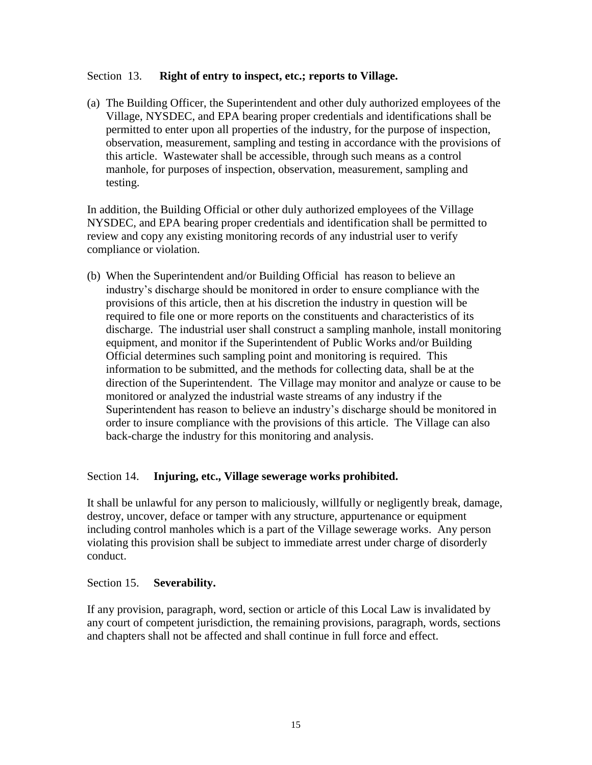### Section 13. **Right of entry to inspect, etc.; reports to Village.**

(a) The Building Officer, the Superintendent and other duly authorized employees of the Village, NYSDEC, and EPA bearing proper credentials and identifications shall be permitted to enter upon all properties of the industry, for the purpose of inspection, observation, measurement, sampling and testing in accordance with the provisions of this article. Wastewater shall be accessible, through such means as a control manhole, for purposes of inspection, observation, measurement, sampling and testing.

In addition, the Building Official or other duly authorized employees of the Village NYSDEC, and EPA bearing proper credentials and identification shall be permitted to review and copy any existing monitoring records of any industrial user to verify compliance or violation.

(b) When the Superintendent and/or Building Official has reason to believe an industry's discharge should be monitored in order to ensure compliance with the provisions of this article, then at his discretion the industry in question will be required to file one or more reports on the constituents and characteristics of its discharge. The industrial user shall construct a sampling manhole, install monitoring equipment, and monitor if the Superintendent of Public Works and/or Building Official determines such sampling point and monitoring is required. This information to be submitted, and the methods for collecting data, shall be at the direction of the Superintendent. The Village may monitor and analyze or cause to be monitored or analyzed the industrial waste streams of any industry if the Superintendent has reason to believe an industry's discharge should be monitored in order to insure compliance with the provisions of this article. The Village can also back-charge the industry for this monitoring and analysis.

# Section 14. **Injuring, etc., Village sewerage works prohibited.**

It shall be unlawful for any person to maliciously, willfully or negligently break, damage, destroy, uncover, deface or tamper with any structure, appurtenance or equipment including control manholes which is a part of the Village sewerage works. Any person violating this provision shall be subject to immediate arrest under charge of disorderly conduct.

### Section 15. **Severability.**

If any provision, paragraph, word, section or article of this Local Law is invalidated by any court of competent jurisdiction, the remaining provisions, paragraph, words, sections and chapters shall not be affected and shall continue in full force and effect.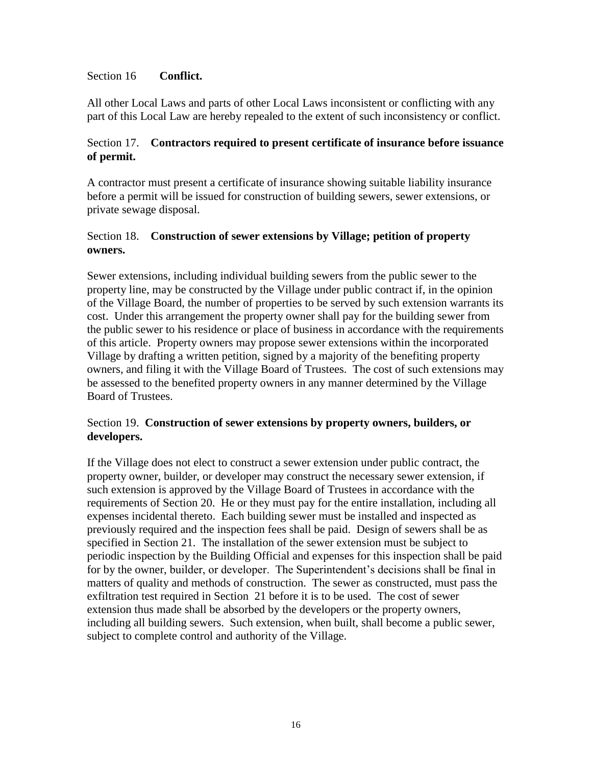### Section 16 **Conflict.**

All other Local Laws and parts of other Local Laws inconsistent or conflicting with any part of this Local Law are hereby repealed to the extent of such inconsistency or conflict.

# Section 17. **Contractors required to present certificate of insurance before issuance of permit.**

A contractor must present a certificate of insurance showing suitable liability insurance before a permit will be issued for construction of building sewers, sewer extensions, or private sewage disposal.

# Section 18. **Construction of sewer extensions by Village; petition of property owners.**

Sewer extensions, including individual building sewers from the public sewer to the property line, may be constructed by the Village under public contract if, in the opinion of the Village Board, the number of properties to be served by such extension warrants its cost. Under this arrangement the property owner shall pay for the building sewer from the public sewer to his residence or place of business in accordance with the requirements of this article. Property owners may propose sewer extensions within the incorporated Village by drafting a written petition, signed by a majority of the benefiting property owners, and filing it with the Village Board of Trustees. The cost of such extensions may be assessed to the benefited property owners in any manner determined by the Village Board of Trustees.

# Section 19. **Construction of sewer extensions by property owners, builders, or developers.**

If the Village does not elect to construct a sewer extension under public contract, the property owner, builder, or developer may construct the necessary sewer extension, if such extension is approved by the Village Board of Trustees in accordance with the requirements of Section 20. He or they must pay for the entire installation, including all expenses incidental thereto. Each building sewer must be installed and inspected as previously required and the inspection fees shall be paid. Design of sewers shall be as specified in Section 21. The installation of the sewer extension must be subject to periodic inspection by the Building Official and expenses for this inspection shall be paid for by the owner, builder, or developer. The Superintendent's decisions shall be final in matters of quality and methods of construction. The sewer as constructed, must pass the exfiltration test required in Section 21 before it is to be used. The cost of sewer extension thus made shall be absorbed by the developers or the property owners, including all building sewers. Such extension, when built, shall become a public sewer, subject to complete control and authority of the Village.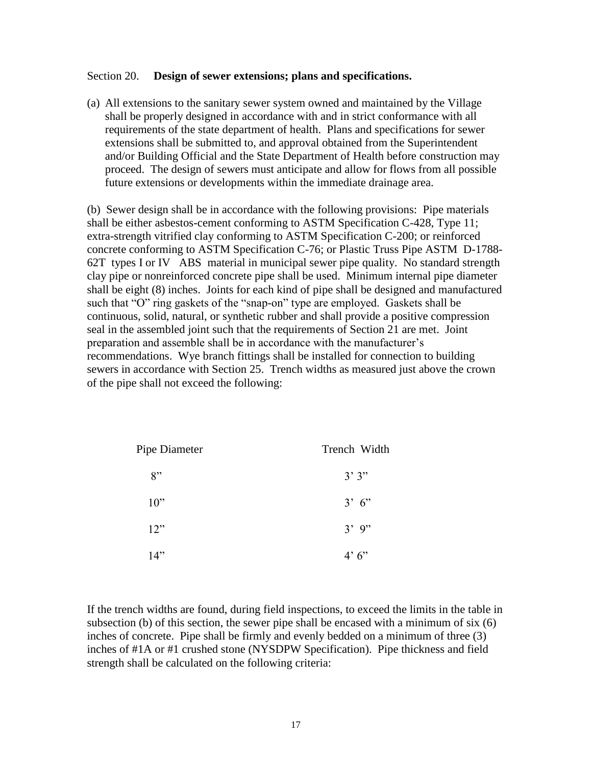#### Section 20. **Design of sewer extensions; plans and specifications.**

(a) All extensions to the sanitary sewer system owned and maintained by the Village shall be properly designed in accordance with and in strict conformance with all requirements of the state department of health. Plans and specifications for sewer extensions shall be submitted to, and approval obtained from the Superintendent and/or Building Official and the State Department of Health before construction may proceed. The design of sewers must anticipate and allow for flows from all possible future extensions or developments within the immediate drainage area.

(b) Sewer design shall be in accordance with the following provisions: Pipe materials shall be either asbestos-cement conforming to ASTM Specification C-428, Type 11; extra-strength vitrified clay conforming to ASTM Specification C-200; or reinforced concrete conforming to ASTM Specification C-76; or Plastic Truss Pipe ASTM D-1788- 62T types I or IV ABS material in municipal sewer pipe quality. No standard strength clay pipe or nonreinforced concrete pipe shall be used. Minimum internal pipe diameter shall be eight (8) inches. Joints for each kind of pipe shall be designed and manufactured such that "O" ring gaskets of the "snap-on" type are employed. Gaskets shall be continuous, solid, natural, or synthetic rubber and shall provide a positive compression seal in the assembled joint such that the requirements of Section 21 are met. Joint preparation and assemble shall be in accordance with the manufacturer's recommendations. Wye branch fittings shall be installed for connection to building sewers in accordance with Section 25. Trench widths as measured just above the crown of the pipe shall not exceed the following:

| Pipe Diameter | Trench Width |
|---------------|--------------|
| 8"            | 3'3''        |
| 10"           | 3' 6''       |
| 12"           | $3'$ 9"      |
| 14"           | 4'6''        |

If the trench widths are found, during field inspections, to exceed the limits in the table in subsection (b) of this section, the sewer pipe shall be encased with a minimum of six (6) inches of concrete. Pipe shall be firmly and evenly bedded on a minimum of three (3) inches of #1A or #1 crushed stone (NYSDPW Specification). Pipe thickness and field strength shall be calculated on the following criteria: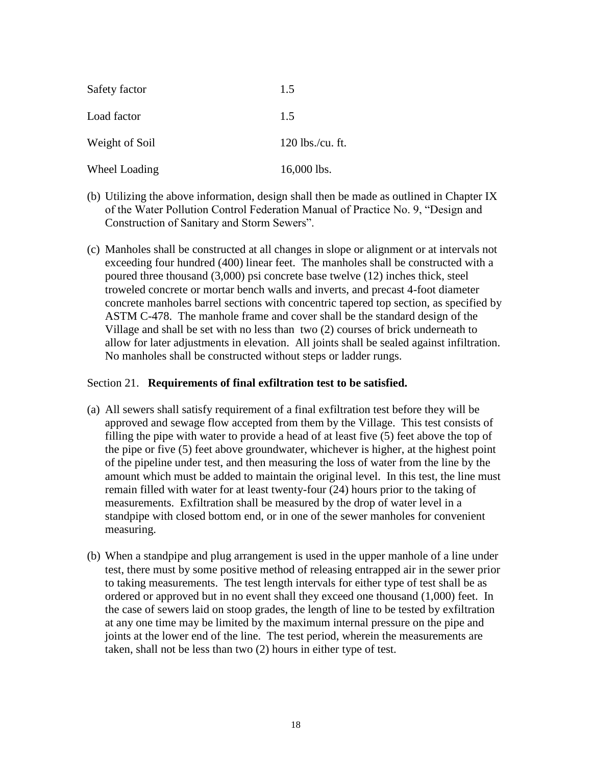| Safety factor  | 1.5                |
|----------------|--------------------|
| Load factor    | 1.5                |
| Weight of Soil | $120$ lbs./cu. ft. |
| Wheel Loading  | 16,000 lbs.        |

- (b) Utilizing the above information, design shall then be made as outlined in Chapter IX of the Water Pollution Control Federation Manual of Practice No. 9, "Design and Construction of Sanitary and Storm Sewers".
- (c) Manholes shall be constructed at all changes in slope or alignment or at intervals not exceeding four hundred (400) linear feet. The manholes shall be constructed with a poured three thousand (3,000) psi concrete base twelve (12) inches thick, steel troweled concrete or mortar bench walls and inverts, and precast 4-foot diameter concrete manholes barrel sections with concentric tapered top section, as specified by ASTM C-478. The manhole frame and cover shall be the standard design of the Village and shall be set with no less than two (2) courses of brick underneath to allow for later adjustments in elevation. All joints shall be sealed against infiltration. No manholes shall be constructed without steps or ladder rungs.

### Section 21. **Requirements of final exfiltration test to be satisfied.**

- (a) All sewers shall satisfy requirement of a final exfiltration test before they will be approved and sewage flow accepted from them by the Village. This test consists of filling the pipe with water to provide a head of at least five (5) feet above the top of the pipe or five (5) feet above groundwater, whichever is higher, at the highest point of the pipeline under test, and then measuring the loss of water from the line by the amount which must be added to maintain the original level. In this test, the line must remain filled with water for at least twenty-four (24) hours prior to the taking of measurements. Exfiltration shall be measured by the drop of water level in a standpipe with closed bottom end, or in one of the sewer manholes for convenient measuring.
- (b) When a standpipe and plug arrangement is used in the upper manhole of a line under test, there must by some positive method of releasing entrapped air in the sewer prior to taking measurements. The test length intervals for either type of test shall be as ordered or approved but in no event shall they exceed one thousand (1,000) feet. In the case of sewers laid on stoop grades, the length of line to be tested by exfiltration at any one time may be limited by the maximum internal pressure on the pipe and joints at the lower end of the line. The test period, wherein the measurements are taken, shall not be less than two (2) hours in either type of test.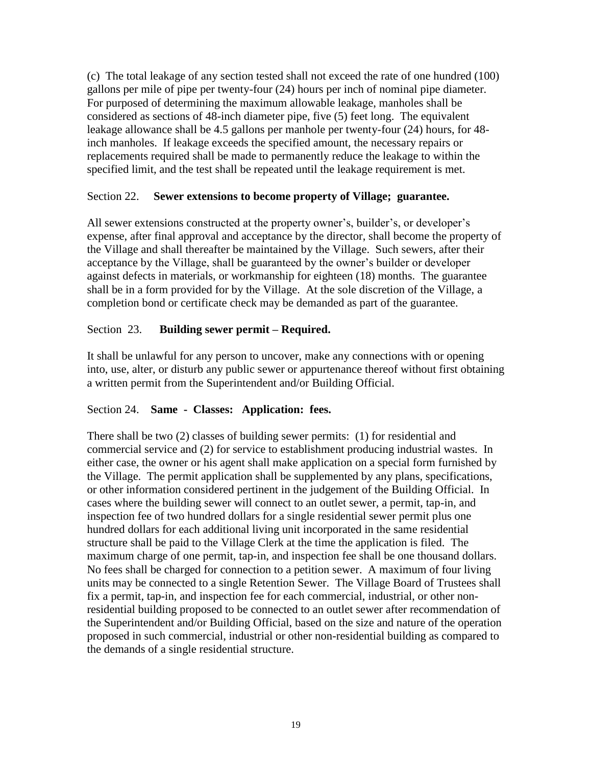(c) The total leakage of any section tested shall not exceed the rate of one hundred (100) gallons per mile of pipe per twenty-four (24) hours per inch of nominal pipe diameter. For purposed of determining the maximum allowable leakage, manholes shall be considered as sections of 48-inch diameter pipe, five (5) feet long. The equivalent leakage allowance shall be 4.5 gallons per manhole per twenty-four (24) hours, for 48 inch manholes. If leakage exceeds the specified amount, the necessary repairs or replacements required shall be made to permanently reduce the leakage to within the specified limit, and the test shall be repeated until the leakage requirement is met.

## Section 22. **Sewer extensions to become property of Village; guarantee.**

All sewer extensions constructed at the property owner's, builder's, or developer's expense, after final approval and acceptance by the director, shall become the property of the Village and shall thereafter be maintained by the Village. Such sewers, after their acceptance by the Village, shall be guaranteed by the owner's builder or developer against defects in materials, or workmanship for eighteen (18) months. The guarantee shall be in a form provided for by the Village. At the sole discretion of the Village, a completion bond or certificate check may be demanded as part of the guarantee.

# Section 23. **Building sewer permit – Required.**

It shall be unlawful for any person to uncover, make any connections with or opening into, use, alter, or disturb any public sewer or appurtenance thereof without first obtaining a written permit from the Superintendent and/or Building Official.

### Section 24. **Same - Classes: Application: fees.**

There shall be two (2) classes of building sewer permits: (1) for residential and commercial service and (2) for service to establishment producing industrial wastes. In either case, the owner or his agent shall make application on a special form furnished by the Village. The permit application shall be supplemented by any plans, specifications, or other information considered pertinent in the judgement of the Building Official. In cases where the building sewer will connect to an outlet sewer, a permit, tap-in, and inspection fee of two hundred dollars for a single residential sewer permit plus one hundred dollars for each additional living unit incorporated in the same residential structure shall be paid to the Village Clerk at the time the application is filed. The maximum charge of one permit, tap-in, and inspection fee shall be one thousand dollars. No fees shall be charged for connection to a petition sewer. A maximum of four living units may be connected to a single Retention Sewer. The Village Board of Trustees shall fix a permit, tap-in, and inspection fee for each commercial, industrial, or other nonresidential building proposed to be connected to an outlet sewer after recommendation of the Superintendent and/or Building Official, based on the size and nature of the operation proposed in such commercial, industrial or other non-residential building as compared to the demands of a single residential structure.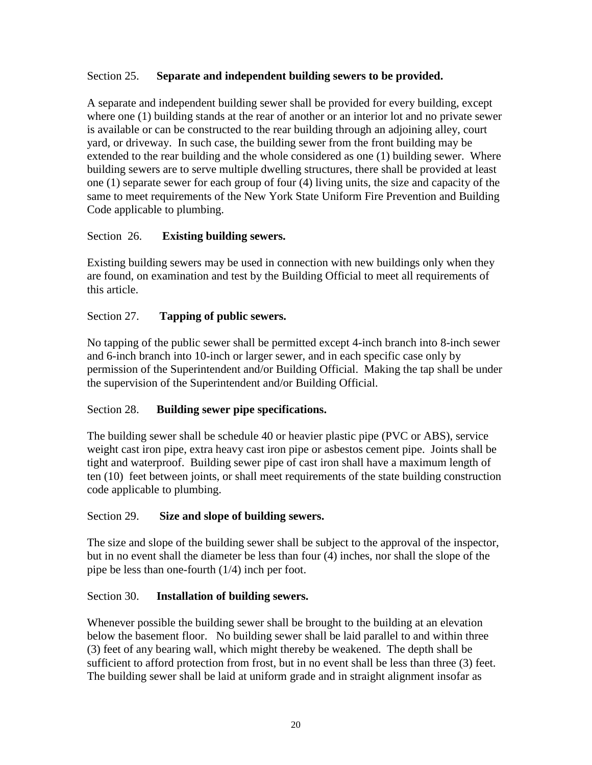# Section 25. **Separate and independent building sewers to be provided.**

A separate and independent building sewer shall be provided for every building, except where one (1) building stands at the rear of another or an interior lot and no private sewer is available or can be constructed to the rear building through an adjoining alley, court yard, or driveway. In such case, the building sewer from the front building may be extended to the rear building and the whole considered as one (1) building sewer. Where building sewers are to serve multiple dwelling structures, there shall be provided at least one (1) separate sewer for each group of four (4) living units, the size and capacity of the same to meet requirements of the New York State Uniform Fire Prevention and Building Code applicable to plumbing.

# Section 26. **Existing building sewers.**

Existing building sewers may be used in connection with new buildings only when they are found, on examination and test by the Building Official to meet all requirements of this article.

## Section 27. **Tapping of public sewers.**

No tapping of the public sewer shall be permitted except 4-inch branch into 8-inch sewer and 6-inch branch into 10-inch or larger sewer, and in each specific case only by permission of the Superintendent and/or Building Official. Making the tap shall be under the supervision of the Superintendent and/or Building Official.

# Section 28. **Building sewer pipe specifications.**

The building sewer shall be schedule 40 or heavier plastic pipe (PVC or ABS), service weight cast iron pipe, extra heavy cast iron pipe or asbestos cement pipe. Joints shall be tight and waterproof. Building sewer pipe of cast iron shall have a maximum length of ten (10) feet between joints, or shall meet requirements of the state building construction code applicable to plumbing.

### Section 29. **Size and slope of building sewers.**

The size and slope of the building sewer shall be subject to the approval of the inspector, but in no event shall the diameter be less than four (4) inches, nor shall the slope of the pipe be less than one-fourth (1/4) inch per foot.

### Section 30. **Installation of building sewers.**

Whenever possible the building sewer shall be brought to the building at an elevation below the basement floor. No building sewer shall be laid parallel to and within three (3) feet of any bearing wall, which might thereby be weakened. The depth shall be sufficient to afford protection from frost, but in no event shall be less than three (3) feet. The building sewer shall be laid at uniform grade and in straight alignment insofar as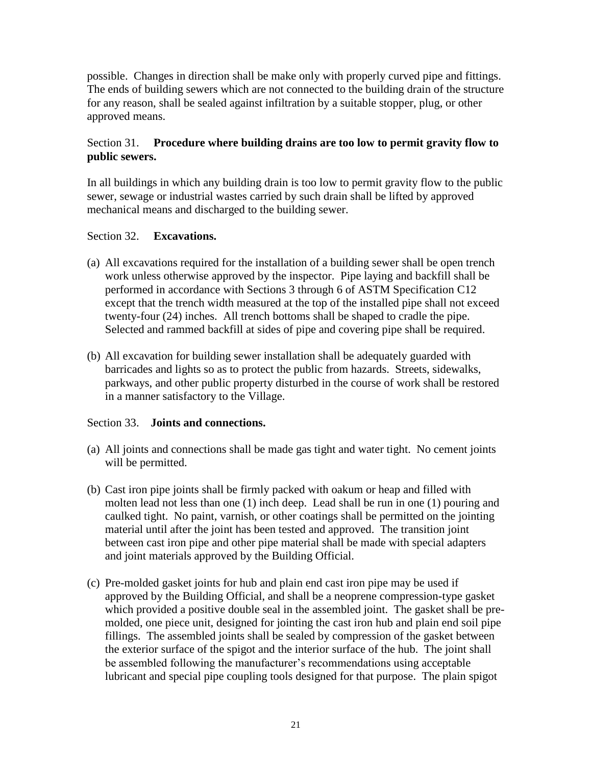possible. Changes in direction shall be make only with properly curved pipe and fittings. The ends of building sewers which are not connected to the building drain of the structure for any reason, shall be sealed against infiltration by a suitable stopper, plug, or other approved means.

# Section 31. **Procedure where building drains are too low to permit gravity flow to public sewers.**

In all buildings in which any building drain is too low to permit gravity flow to the public sewer, sewage or industrial wastes carried by such drain shall be lifted by approved mechanical means and discharged to the building sewer.

## Section 32. **Excavations.**

- (a) All excavations required for the installation of a building sewer shall be open trench work unless otherwise approved by the inspector. Pipe laying and backfill shall be performed in accordance with Sections 3 through 6 of ASTM Specification C12 except that the trench width measured at the top of the installed pipe shall not exceed twenty-four (24) inches. All trench bottoms shall be shaped to cradle the pipe. Selected and rammed backfill at sides of pipe and covering pipe shall be required.
- (b) All excavation for building sewer installation shall be adequately guarded with barricades and lights so as to protect the public from hazards. Streets, sidewalks, parkways, and other public property disturbed in the course of work shall be restored in a manner satisfactory to the Village.

# Section 33. **Joints and connections.**

- (a) All joints and connections shall be made gas tight and water tight. No cement joints will be permitted.
- (b) Cast iron pipe joints shall be firmly packed with oakum or heap and filled with molten lead not less than one (1) inch deep. Lead shall be run in one (1) pouring and caulked tight. No paint, varnish, or other coatings shall be permitted on the jointing material until after the joint has been tested and approved. The transition joint between cast iron pipe and other pipe material shall be made with special adapters and joint materials approved by the Building Official.
- (c) Pre-molded gasket joints for hub and plain end cast iron pipe may be used if approved by the Building Official, and shall be a neoprene compression-type gasket which provided a positive double seal in the assembled joint. The gasket shall be premolded, one piece unit, designed for jointing the cast iron hub and plain end soil pipe fillings. The assembled joints shall be sealed by compression of the gasket between the exterior surface of the spigot and the interior surface of the hub. The joint shall be assembled following the manufacturer's recommendations using acceptable lubricant and special pipe coupling tools designed for that purpose. The plain spigot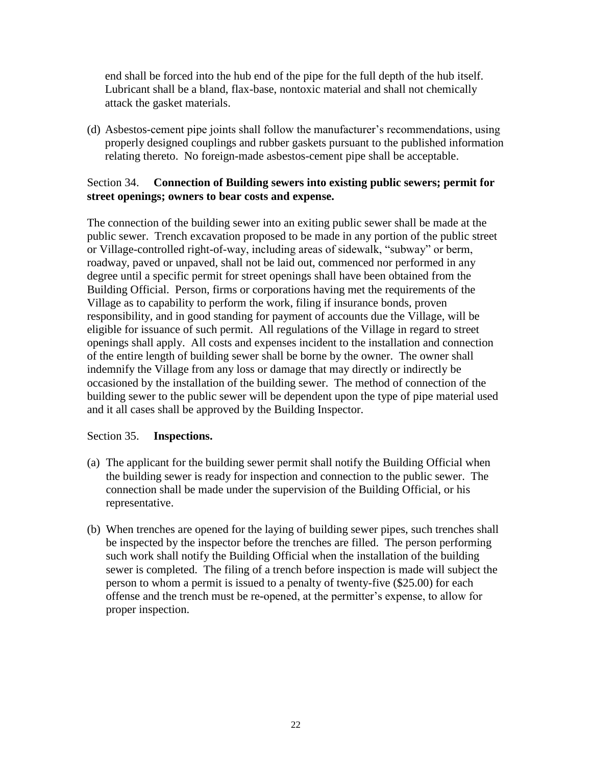end shall be forced into the hub end of the pipe for the full depth of the hub itself. Lubricant shall be a bland, flax-base, nontoxic material and shall not chemically attack the gasket materials.

(d) Asbestos-cement pipe joints shall follow the manufacturer's recommendations, using properly designed couplings and rubber gaskets pursuant to the published information relating thereto. No foreign-made asbestos-cement pipe shall be acceptable.

### Section 34. **Connection of Building sewers into existing public sewers; permit for street openings; owners to bear costs and expense.**

The connection of the building sewer into an exiting public sewer shall be made at the public sewer. Trench excavation proposed to be made in any portion of the public street or Village-controlled right-of-way, including areas of sidewalk, "subway" or berm, roadway, paved or unpaved, shall not be laid out, commenced nor performed in any degree until a specific permit for street openings shall have been obtained from the Building Official. Person, firms or corporations having met the requirements of the Village as to capability to perform the work, filing if insurance bonds, proven responsibility, and in good standing for payment of accounts due the Village, will be eligible for issuance of such permit. All regulations of the Village in regard to street openings shall apply. All costs and expenses incident to the installation and connection of the entire length of building sewer shall be borne by the owner. The owner shall indemnify the Village from any loss or damage that may directly or indirectly be occasioned by the installation of the building sewer. The method of connection of the building sewer to the public sewer will be dependent upon the type of pipe material used and it all cases shall be approved by the Building Inspector.

# Section 35. **Inspections.**

- (a) The applicant for the building sewer permit shall notify the Building Official when the building sewer is ready for inspection and connection to the public sewer. The connection shall be made under the supervision of the Building Official, or his representative.
- (b) When trenches are opened for the laying of building sewer pipes, such trenches shall be inspected by the inspector before the trenches are filled. The person performing such work shall notify the Building Official when the installation of the building sewer is completed. The filing of a trench before inspection is made will subject the person to whom a permit is issued to a penalty of twenty-five (\$25.00) for each offense and the trench must be re-opened, at the permitter's expense, to allow for proper inspection.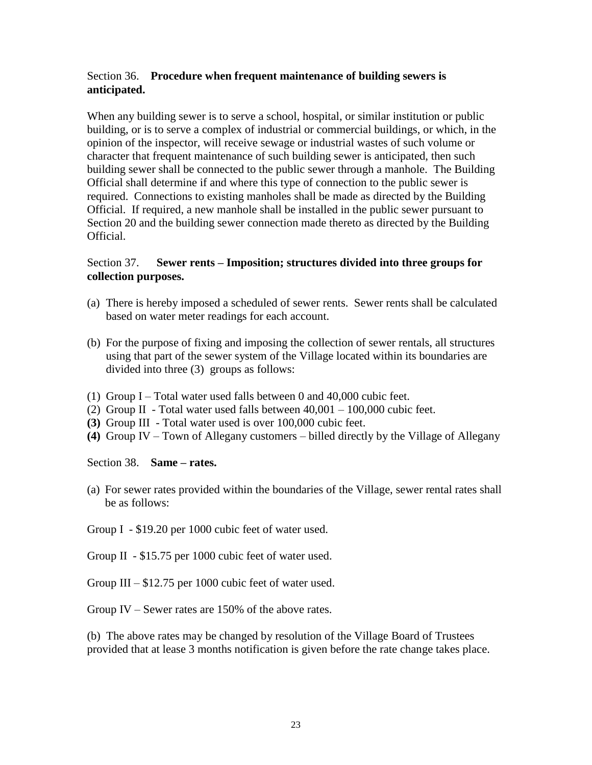# Section 36. **Procedure when frequent maintenance of building sewers is anticipated.**

When any building sewer is to serve a school, hospital, or similar institution or public building, or is to serve a complex of industrial or commercial buildings, or which, in the opinion of the inspector, will receive sewage or industrial wastes of such volume or character that frequent maintenance of such building sewer is anticipated, then such building sewer shall be connected to the public sewer through a manhole. The Building Official shall determine if and where this type of connection to the public sewer is required. Connections to existing manholes shall be made as directed by the Building Official. If required, a new manhole shall be installed in the public sewer pursuant to Section 20 and the building sewer connection made thereto as directed by the Building Official.

## Section 37. **Sewer rents – Imposition; structures divided into three groups for collection purposes.**

- (a) There is hereby imposed a scheduled of sewer rents. Sewer rents shall be calculated based on water meter readings for each account.
- (b) For the purpose of fixing and imposing the collection of sewer rentals, all structures using that part of the sewer system of the Village located within its boundaries are divided into three (3) groups as follows:
- (1) Group I Total water used falls between 0 and 40,000 cubic feet.
- (2) Group II Total water used falls between  $40,001 100,000$  cubic feet.
- **(3)** Group III Total water used is over 100,000 cubic feet.
- **(4)** Group IV Town of Allegany customers billed directly by the Village of Allegany

Section 38. **Same – rates.**

- (a) For sewer rates provided within the boundaries of the Village, sewer rental rates shall be as follows:
- Group I \$19.20 per 1000 cubic feet of water used.

Group II - \$15.75 per 1000 cubic feet of water used.

Group III – \$12.75 per 1000 cubic feet of water used.

Group IV – Sewer rates are 150% of the above rates.

(b) The above rates may be changed by resolution of the Village Board of Trustees provided that at lease 3 months notification is given before the rate change takes place.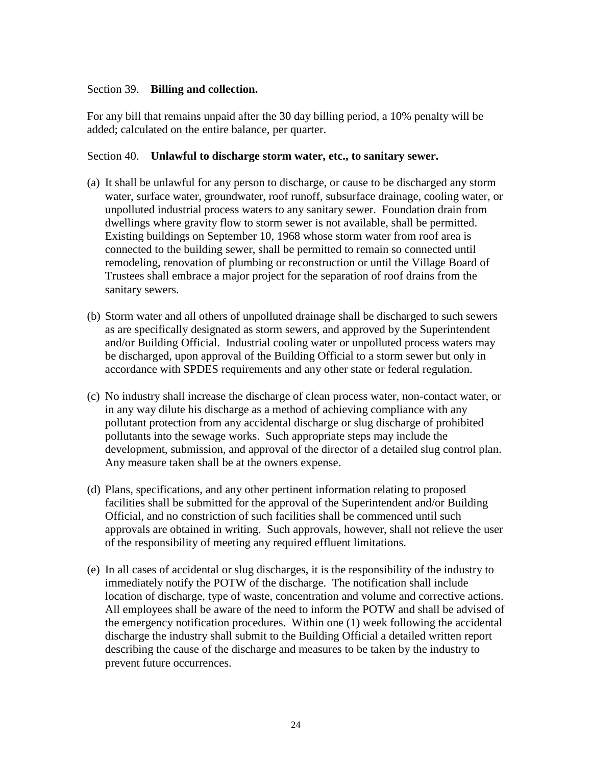### Section 39. **Billing and collection.**

For any bill that remains unpaid after the 30 day billing period, a 10% penalty will be added; calculated on the entire balance, per quarter.

#### Section 40. **Unlawful to discharge storm water, etc., to sanitary sewer.**

- (a) It shall be unlawful for any person to discharge, or cause to be discharged any storm water, surface water, groundwater, roof runoff, subsurface drainage, cooling water, or unpolluted industrial process waters to any sanitary sewer. Foundation drain from dwellings where gravity flow to storm sewer is not available, shall be permitted. Existing buildings on September 10, 1968 whose storm water from roof area is connected to the building sewer, shall be permitted to remain so connected until remodeling, renovation of plumbing or reconstruction or until the Village Board of Trustees shall embrace a major project for the separation of roof drains from the sanitary sewers.
- (b) Storm water and all others of unpolluted drainage shall be discharged to such sewers as are specifically designated as storm sewers, and approved by the Superintendent and/or Building Official. Industrial cooling water or unpolluted process waters may be discharged, upon approval of the Building Official to a storm sewer but only in accordance with SPDES requirements and any other state or federal regulation.
- (c) No industry shall increase the discharge of clean process water, non-contact water, or in any way dilute his discharge as a method of achieving compliance with any pollutant protection from any accidental discharge or slug discharge of prohibited pollutants into the sewage works. Such appropriate steps may include the development, submission, and approval of the director of a detailed slug control plan. Any measure taken shall be at the owners expense.
- (d) Plans, specifications, and any other pertinent information relating to proposed facilities shall be submitted for the approval of the Superintendent and/or Building Official, and no constriction of such facilities shall be commenced until such approvals are obtained in writing. Such approvals, however, shall not relieve the user of the responsibility of meeting any required effluent limitations.
- (e) In all cases of accidental or slug discharges, it is the responsibility of the industry to immediately notify the POTW of the discharge. The notification shall include location of discharge, type of waste, concentration and volume and corrective actions. All employees shall be aware of the need to inform the POTW and shall be advised of the emergency notification procedures. Within one (1) week following the accidental discharge the industry shall submit to the Building Official a detailed written report describing the cause of the discharge and measures to be taken by the industry to prevent future occurrences.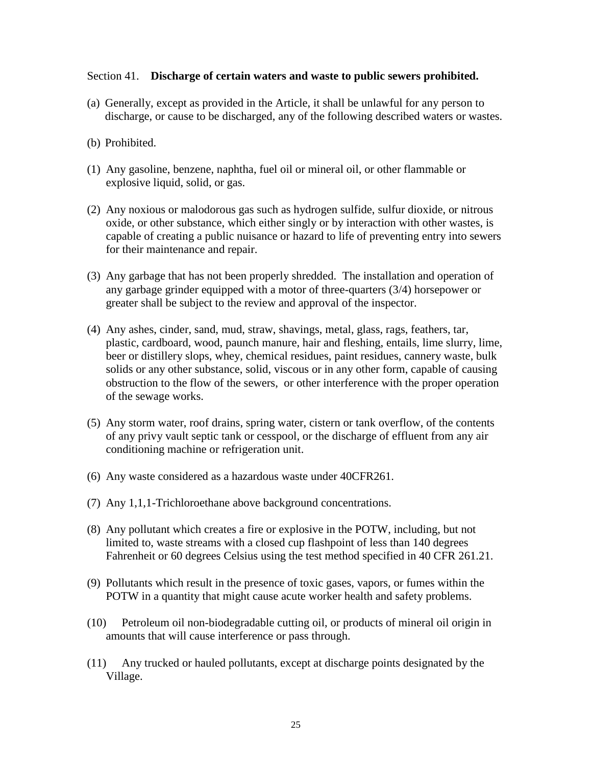#### Section 41. **Discharge of certain waters and waste to public sewers prohibited.**

- (a) Generally, except as provided in the Article, it shall be unlawful for any person to discharge, or cause to be discharged, any of the following described waters or wastes.
- (b) Prohibited.
- (1) Any gasoline, benzene, naphtha, fuel oil or mineral oil, or other flammable or explosive liquid, solid, or gas.
- (2) Any noxious or malodorous gas such as hydrogen sulfide, sulfur dioxide, or nitrous oxide, or other substance, which either singly or by interaction with other wastes, is capable of creating a public nuisance or hazard to life of preventing entry into sewers for their maintenance and repair.
- (3) Any garbage that has not been properly shredded. The installation and operation of any garbage grinder equipped with a motor of three-quarters (3/4) horsepower or greater shall be subject to the review and approval of the inspector.
- (4) Any ashes, cinder, sand, mud, straw, shavings, metal, glass, rags, feathers, tar, plastic, cardboard, wood, paunch manure, hair and fleshing, entails, lime slurry, lime, beer or distillery slops, whey, chemical residues, paint residues, cannery waste, bulk solids or any other substance, solid, viscous or in any other form, capable of causing obstruction to the flow of the sewers, or other interference with the proper operation of the sewage works.
- (5) Any storm water, roof drains, spring water, cistern or tank overflow, of the contents of any privy vault septic tank or cesspool, or the discharge of effluent from any air conditioning machine or refrigeration unit.
- (6) Any waste considered as a hazardous waste under 40CFR261.
- (7) Any 1,1,1-Trichloroethane above background concentrations.
- (8) Any pollutant which creates a fire or explosive in the POTW, including, but not limited to, waste streams with a closed cup flashpoint of less than 140 degrees Fahrenheit or 60 degrees Celsius using the test method specified in 40 CFR 261.21.
- (9) Pollutants which result in the presence of toxic gases, vapors, or fumes within the POTW in a quantity that might cause acute worker health and safety problems.
- (10) Petroleum oil non-biodegradable cutting oil, or products of mineral oil origin in amounts that will cause interference or pass through.
- (11) Any trucked or hauled pollutants, except at discharge points designated by the Village.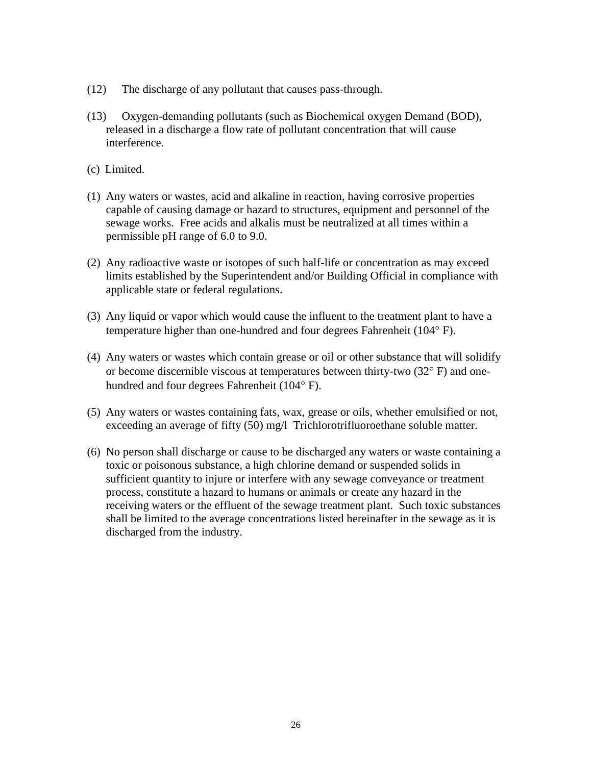- (12) The discharge of any pollutant that causes pass-through.
- (13) Oxygen-demanding pollutants (such as Biochemical oxygen Demand (BOD), released in a discharge a flow rate of pollutant concentration that will cause interference.
- (c) Limited.
- (1) Any waters or wastes, acid and alkaline in reaction, having corrosive properties capable of causing damage or hazard to structures, equipment and personnel of the sewage works. Free acids and alkalis must be neutralized at all times within a permissible pH range of 6.0 to 9.0.
- (2) Any radioactive waste or isotopes of such half-life or concentration as may exceed limits established by the Superintendent and/or Building Official in compliance with applicable state or federal regulations.
- (3) Any liquid or vapor which would cause the influent to the treatment plant to have a temperature higher than one-hundred and four degrees Fahrenheit ( $104^{\circ}$  F).
- (4) Any waters or wastes which contain grease or oil or other substance that will solidify or become discernible viscous at temperatures between thirty-two  $(32^{\circ} \text{ F})$  and onehundred and four degrees Fahrenheit  $(104^{\circ} \text{ F})$ .
- (5) Any waters or wastes containing fats, wax, grease or oils, whether emulsified or not, exceeding an average of fifty (50) mg/l Trichlorotrifluoroethane soluble matter.
- (6) No person shall discharge or cause to be discharged any waters or waste containing a toxic or poisonous substance, a high chlorine demand or suspended solids in sufficient quantity to injure or interfere with any sewage conveyance or treatment process, constitute a hazard to humans or animals or create any hazard in the receiving waters or the effluent of the sewage treatment plant. Such toxic substances shall be limited to the average concentrations listed hereinafter in the sewage as it is discharged from the industry.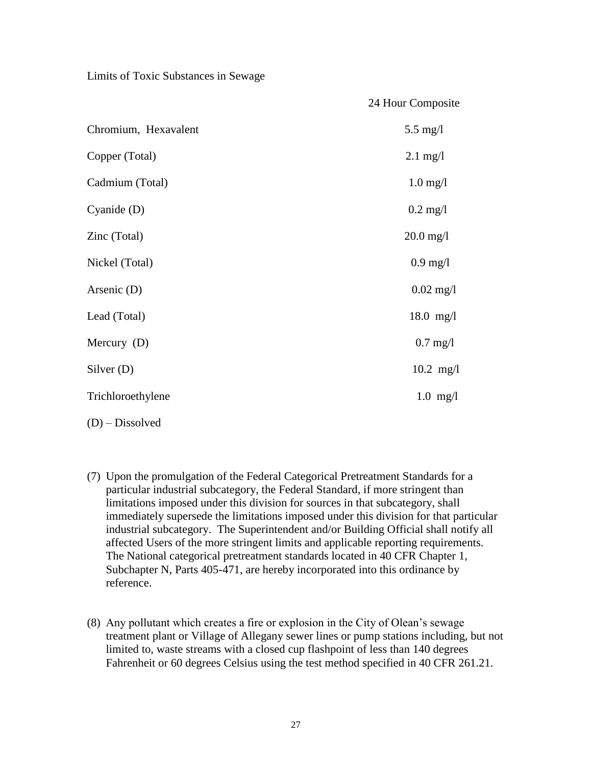Limits of Toxic Substances in Sewage

|                      | 24 Hour Composite   |
|----------------------|---------------------|
| Chromium, Hexavalent | $5.5 \text{ mg}/l$  |
| Copper (Total)       | $2.1 \text{ mg}/l$  |
| Cadmium (Total)      | $1.0$ mg/l          |
| Cyanide $(D)$        | $0.2 \text{ mg/l}$  |
| Zinc (Total)         | $20.0 \text{ mg}/1$ |
| Nickel (Total)       | $0.9$ mg/l          |
| Arsenic (D)          | $0.02 \text{ mg}/1$ |
| Lead (Total)         | $18.0$ mg/l         |
| Mercury $(D)$        | $0.7$ mg/l          |
| Silver $(D)$         | $10.2 \text{ mg/l}$ |
| Trichloroethylene    | $1.0$ mg/l          |
|                      |                     |

- (D) Dissolved
- (7) Upon the promulgation of the Federal Categorical Pretreatment Standards for a particular industrial subcategory, the Federal Standard, if more stringent than limitations imposed under this division for sources in that subcategory, shall immediately supersede the limitations imposed under this division for that particular industrial subcategory. The Superintendent and/or Building Official shall notify all affected Users of the more stringent limits and applicable reporting requirements. The National categorical pretreatment standards located in 40 CFR Chapter 1, Subchapter N, Parts 405-471, are hereby incorporated into this ordinance by reference.
- (8) Any pollutant which creates a fire or explosion in the City of Olean's sewage treatment plant or Village of Allegany sewer lines or pump stations including, but not limited to, waste streams with a closed cup flashpoint of less than 140 degrees Fahrenheit or 60 degrees Celsius using the test method specified in 40 CFR 261.21.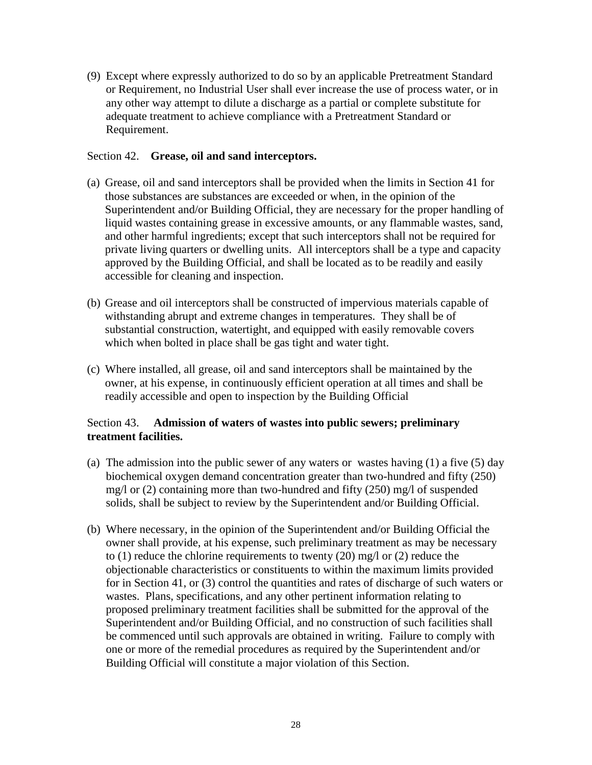(9) Except where expressly authorized to do so by an applicable Pretreatment Standard or Requirement, no Industrial User shall ever increase the use of process water, or in any other way attempt to dilute a discharge as a partial or complete substitute for adequate treatment to achieve compliance with a Pretreatment Standard or Requirement.

## Section 42. **Grease, oil and sand interceptors.**

- (a) Grease, oil and sand interceptors shall be provided when the limits in Section 41 for those substances are substances are exceeded or when, in the opinion of the Superintendent and/or Building Official, they are necessary for the proper handling of liquid wastes containing grease in excessive amounts, or any flammable wastes, sand, and other harmful ingredients; except that such interceptors shall not be required for private living quarters or dwelling units. All interceptors shall be a type and capacity approved by the Building Official, and shall be located as to be readily and easily accessible for cleaning and inspection.
- (b) Grease and oil interceptors shall be constructed of impervious materials capable of withstanding abrupt and extreme changes in temperatures. They shall be of substantial construction, watertight, and equipped with easily removable covers which when bolted in place shall be gas tight and water tight.
- (c) Where installed, all grease, oil and sand interceptors shall be maintained by the owner, at his expense, in continuously efficient operation at all times and shall be readily accessible and open to inspection by the Building Official

# Section 43. **Admission of waters of wastes into public sewers; preliminary treatment facilities.**

- (a) The admission into the public sewer of any waters or wastes having (1) a five (5) day biochemical oxygen demand concentration greater than two-hundred and fifty (250) mg/l or (2) containing more than two-hundred and fifty (250) mg/l of suspended solids, shall be subject to review by the Superintendent and/or Building Official.
- (b) Where necessary, in the opinion of the Superintendent and/or Building Official the owner shall provide, at his expense, such preliminary treatment as may be necessary to (1) reduce the chlorine requirements to twenty (20) mg/l or (2) reduce the objectionable characteristics or constituents to within the maximum limits provided for in Section 41, or (3) control the quantities and rates of discharge of such waters or wastes. Plans, specifications, and any other pertinent information relating to proposed preliminary treatment facilities shall be submitted for the approval of the Superintendent and/or Building Official, and no construction of such facilities shall be commenced until such approvals are obtained in writing. Failure to comply with one or more of the remedial procedures as required by the Superintendent and/or Building Official will constitute a major violation of this Section.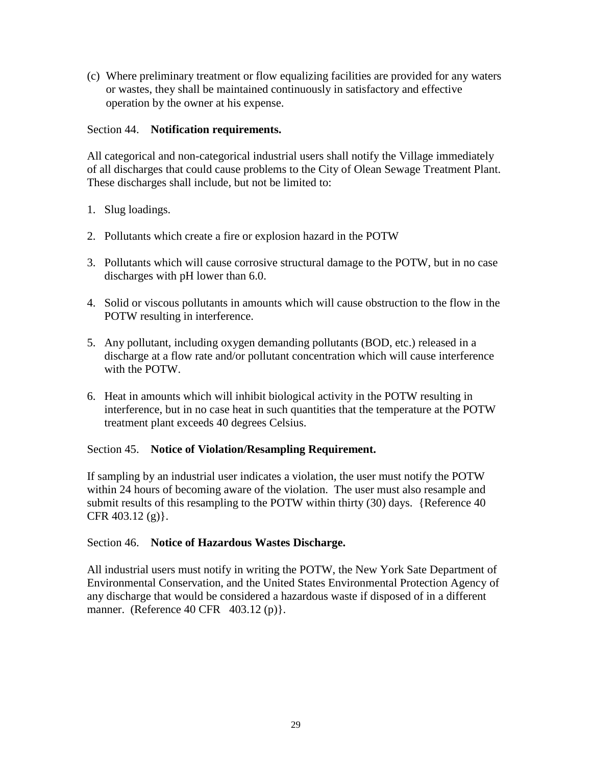(c) Where preliminary treatment or flow equalizing facilities are provided for any waters or wastes, they shall be maintained continuously in satisfactory and effective operation by the owner at his expense.

## Section 44. **Notification requirements.**

All categorical and non-categorical industrial users shall notify the Village immediately of all discharges that could cause problems to the City of Olean Sewage Treatment Plant. These discharges shall include, but not be limited to:

- 1. Slug loadings.
- 2. Pollutants which create a fire or explosion hazard in the POTW
- 3. Pollutants which will cause corrosive structural damage to the POTW, but in no case discharges with pH lower than 6.0.
- 4. Solid or viscous pollutants in amounts which will cause obstruction to the flow in the POTW resulting in interference.
- 5. Any pollutant, including oxygen demanding pollutants (BOD, etc.) released in a discharge at a flow rate and/or pollutant concentration which will cause interference with the POTW.
- 6. Heat in amounts which will inhibit biological activity in the POTW resulting in interference, but in no case heat in such quantities that the temperature at the POTW treatment plant exceeds 40 degrees Celsius.

### Section 45. **Notice of Violation/Resampling Requirement.**

If sampling by an industrial user indicates a violation, the user must notify the POTW within 24 hours of becoming aware of the violation. The user must also resample and submit results of this resampling to the POTW within thirty (30) days. {Reference 40 CFR 403.12 (g)}.

### Section 46. **Notice of Hazardous Wastes Discharge.**

All industrial users must notify in writing the POTW, the New York Sate Department of Environmental Conservation, and the United States Environmental Protection Agency of any discharge that would be considered a hazardous waste if disposed of in a different manner. (Reference 40 CFR 403.12 (p) }.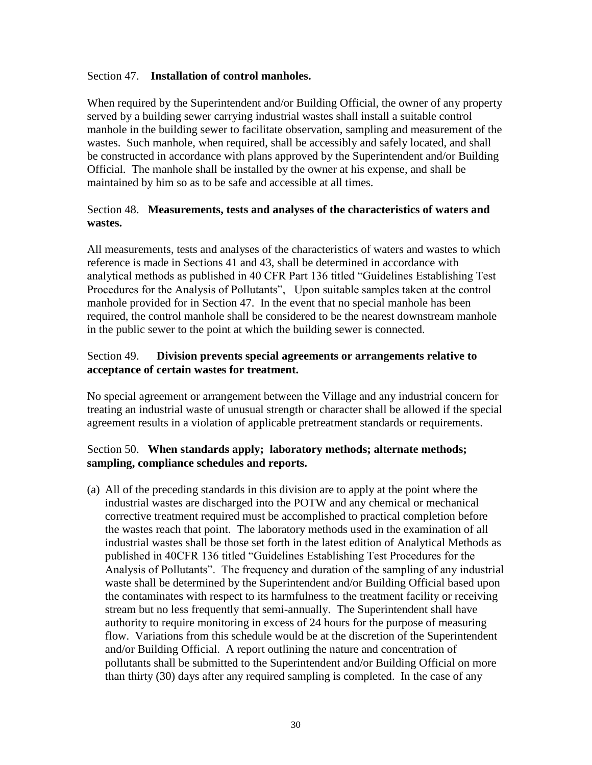### Section 47. **Installation of control manholes.**

When required by the Superintendent and/or Building Official, the owner of any property served by a building sewer carrying industrial wastes shall install a suitable control manhole in the building sewer to facilitate observation, sampling and measurement of the wastes. Such manhole, when required, shall be accessibly and safely located, and shall be constructed in accordance with plans approved by the Superintendent and/or Building Official. The manhole shall be installed by the owner at his expense, and shall be maintained by him so as to be safe and accessible at all times.

## Section 48. **Measurements, tests and analyses of the characteristics of waters and wastes.**

All measurements, tests and analyses of the characteristics of waters and wastes to which reference is made in Sections 41 and 43, shall be determined in accordance with analytical methods as published in 40 CFR Part 136 titled "Guidelines Establishing Test Procedures for the Analysis of Pollutants", Upon suitable samples taken at the control manhole provided for in Section 47. In the event that no special manhole has been required, the control manhole shall be considered to be the nearest downstream manhole in the public sewer to the point at which the building sewer is connected.

## Section 49. **Division prevents special agreements or arrangements relative to acceptance of certain wastes for treatment.**

No special agreement or arrangement between the Village and any industrial concern for treating an industrial waste of unusual strength or character shall be allowed if the special agreement results in a violation of applicable pretreatment standards or requirements.

## Section 50. **When standards apply; laboratory methods; alternate methods; sampling, compliance schedules and reports.**

(a) All of the preceding standards in this division are to apply at the point where the industrial wastes are discharged into the POTW and any chemical or mechanical corrective treatment required must be accomplished to practical completion before the wastes reach that point. The laboratory methods used in the examination of all industrial wastes shall be those set forth in the latest edition of Analytical Methods as published in 40CFR 136 titled "Guidelines Establishing Test Procedures for the Analysis of Pollutants". The frequency and duration of the sampling of any industrial waste shall be determined by the Superintendent and/or Building Official based upon the contaminates with respect to its harmfulness to the treatment facility or receiving stream but no less frequently that semi-annually. The Superintendent shall have authority to require monitoring in excess of 24 hours for the purpose of measuring flow. Variations from this schedule would be at the discretion of the Superintendent and/or Building Official. A report outlining the nature and concentration of pollutants shall be submitted to the Superintendent and/or Building Official on more than thirty (30) days after any required sampling is completed. In the case of any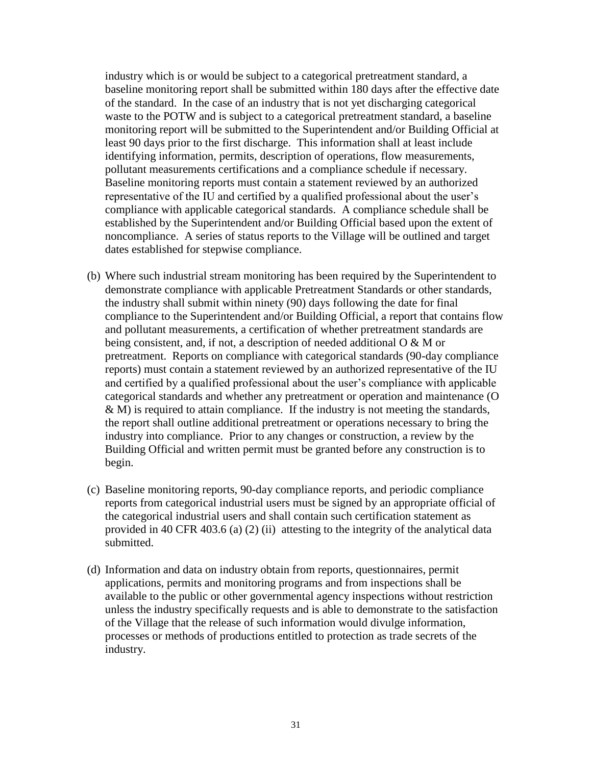industry which is or would be subject to a categorical pretreatment standard, a baseline monitoring report shall be submitted within 180 days after the effective date of the standard. In the case of an industry that is not yet discharging categorical waste to the POTW and is subject to a categorical pretreatment standard, a baseline monitoring report will be submitted to the Superintendent and/or Building Official at least 90 days prior to the first discharge. This information shall at least include identifying information, permits, description of operations, flow measurements, pollutant measurements certifications and a compliance schedule if necessary. Baseline monitoring reports must contain a statement reviewed by an authorized representative of the IU and certified by a qualified professional about the user's compliance with applicable categorical standards. A compliance schedule shall be established by the Superintendent and/or Building Official based upon the extent of noncompliance. A series of status reports to the Village will be outlined and target dates established for stepwise compliance.

- (b) Where such industrial stream monitoring has been required by the Superintendent to demonstrate compliance with applicable Pretreatment Standards or other standards, the industry shall submit within ninety (90) days following the date for final compliance to the Superintendent and/or Building Official, a report that contains flow and pollutant measurements, a certification of whether pretreatment standards are being consistent, and, if not, a description of needed additional O & M or pretreatment. Reports on compliance with categorical standards (90-day compliance reports) must contain a statement reviewed by an authorized representative of the IU and certified by a qualified professional about the user's compliance with applicable categorical standards and whether any pretreatment or operation and maintenance (O  $\&$  M) is required to attain compliance. If the industry is not meeting the standards, the report shall outline additional pretreatment or operations necessary to bring the industry into compliance. Prior to any changes or construction, a review by the Building Official and written permit must be granted before any construction is to begin.
- (c) Baseline monitoring reports, 90-day compliance reports, and periodic compliance reports from categorical industrial users must be signed by an appropriate official of the categorical industrial users and shall contain such certification statement as provided in 40 CFR 403.6 (a) (2) (ii) attesting to the integrity of the analytical data submitted.
- (d) Information and data on industry obtain from reports, questionnaires, permit applications, permits and monitoring programs and from inspections shall be available to the public or other governmental agency inspections without restriction unless the industry specifically requests and is able to demonstrate to the satisfaction of the Village that the release of such information would divulge information, processes or methods of productions entitled to protection as trade secrets of the industry.